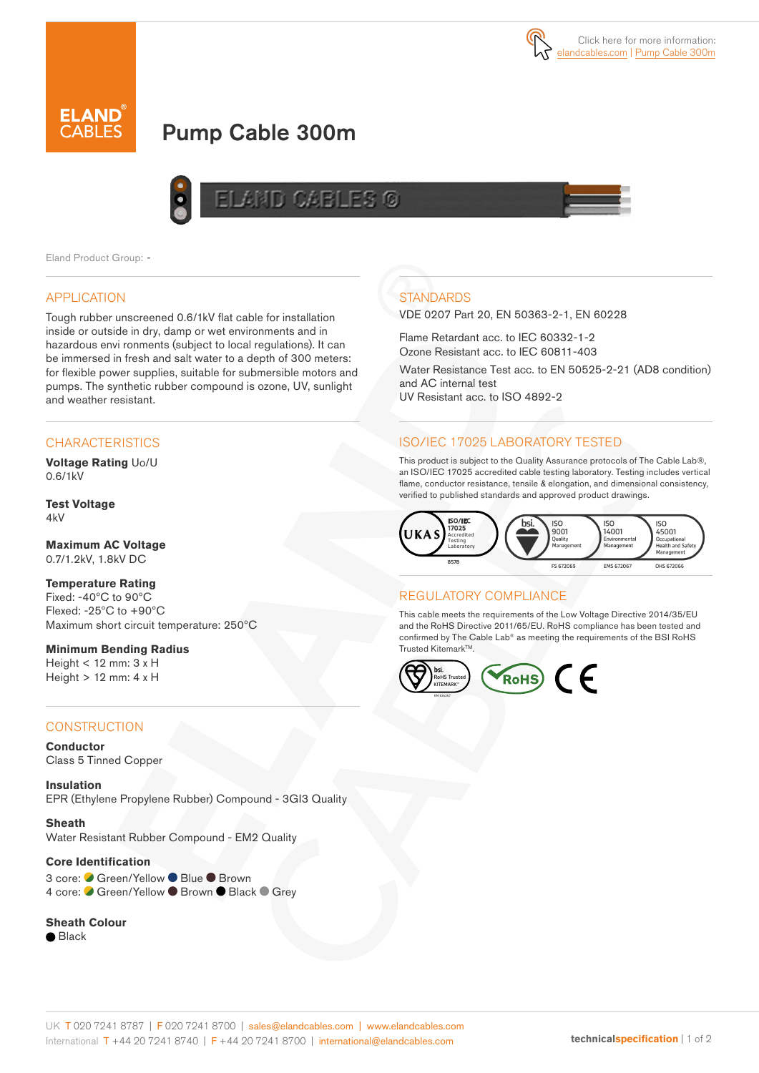



# Pump Cable 300m



Eland Product Group: -

#### APPLICATION

Tough rubber unscreened 0.6/1kV flat cable for installation inside or outside in dry, damp or wet environments and in hazardous envi ronments (subject to local regulations). It can be immersed in fresh and salt water to a depth of 300 meters: for flexible power supplies, suitable for submersible motors and pumps. The synthetic rubber compound is ozone, UV, sunlight and weather resistant.

## **CHARACTERISTICS**

**Voltage Rating** Uo/U 0.6/1kV

#### **Test Voltage** 4kV

**Maximum AC Voltage** 0.7/1.2kV, 1.8kV DC

## **Temperature Rating**

Fixed: -40ºC to 90ºC Flexed: -25ºC to +90ºC Maximum short circuit temperature: 250ºC

**Minimum Bending Radius**  Height < 12 mm: 3 x H Height > 12 mm: 4 x H

### **CONSTRUCTION**

**Conductor** Class 5 Tinned Copper

**Insulation** EPR (Ethylene Propylene Rubber) Compound - 3GI3 Quality

**Sheath** Water Resistant Rubber Compound - EM2 Quality

#### **Core Identification**

3 core: ● Green/Yellow ● Blue ● Brown 4 core: Green/Yellow ● Brown ● Black ● Grey

#### **Sheath Colour**

● Black

# **STANDARDS**

VDE 0207 Part 20, EN 50363-2-1, EN 60228

Flame Retardant acc. to IEC 60332-1-2 Ozone Resistant acc. to IEC 60811-403

Water Resistance Test acc. to EN 50525-2-21 (AD8 condition) and AC internal test UV Resistant acc. to ISO 4892-2

# ISO/IEC 17025 LABORATORY TESTED

This product is subject to the Quality Assurance protocols of The Cable Lab®, an ISO/IEC 17025 accredited cable testing laboratory. Testing includes vertical flame, conductor resistance, tensile & elongation, and dimensional consistency, verified to published standards and approved product drawings.



#### REGULATORY COMPLIANCE

This cable meets the requirements of the Low Voltage Directive 2014/35/EU and the RoHS Directive 2011/65/EU. RoHS compliance has been tested and confirmed by The Cable Lab® as meeting the requirements of the BSI RoHS Trusted Kitemark™.